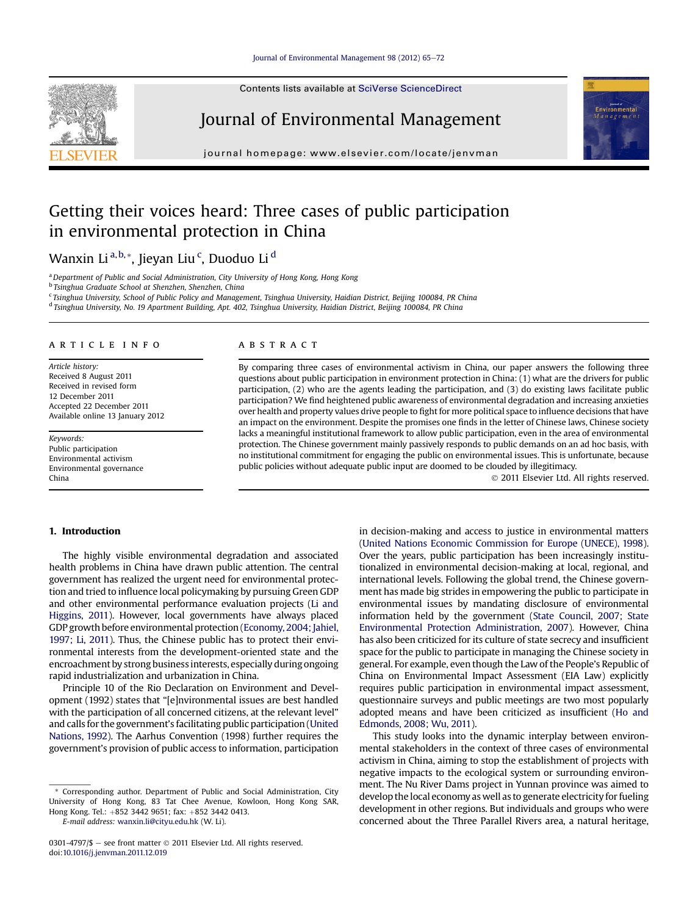## [Journal of Environmental Management 98 \(2012\) 65](http://dx.doi.org/10.1016/j.jenvman.2011.12.019)-[72](http://dx.doi.org/10.1016/j.jenvman.2011.12.019)

Contents lists available at SciVerse ScienceDirect



Journal of Environmental Management

journal homepage: [www.elsevier.com/locate/jenvman](http://www.elsevier.com/locate/jenvman)



# Getting their voices heard: Three cases of public participation in environmental protection in China

Wanxin Li <sup>a,b,</sup>\*, Jieyan Liu <sup>c</sup>, Duoduo Li <sup>d</sup>

<sup>a</sup> Department of Public and Social Administration, City University of Hong Kong, Hong Kong

<sup>b</sup> Tsinghua Graduate School at Shenzhen, Shenzhen, China

 $c$  Tsinghua University, School of Public Policy and Management, Tsinghua University, Haidian District, Beijing 100084, PR China

<sup>d</sup> Tsinghua University, No. 19 Apartment Building, Apt. 402, Tsinghua University, Haidian District, Beijing 100084, PR China

#### article info

Article history: Received 8 August 2011 Received in revised form 12 December 2011 Accepted 22 December 2011 Available online 13 January 2012

Keywords: Public participation Environmental activism Environmental governance China

## ABSTRACT

By comparing three cases of environmental activism in China, our paper answers the following three questions about public participation in environment protection in China: (1) what are the drivers for public participation, (2) who are the agents leading the participation, and (3) do existing laws facilitate public participation? We find heightened public awareness of environmental degradation and increasing anxieties over health and property values drive people to fight for more political space to influence decisions that have an impact on the environment. Despite the promises one finds in the letter of Chinese laws, Chinese society lacks a meaningful institutional framework to allow public participation, even in the area of environmental protection. The Chinese government mainly passively responds to public demands on an ad hoc basis, with no institutional commitment for engaging the public on environmental issues. This is unfortunate, because public policies without adequate public input are doomed to be clouded by illegitimacy.

2011 Elsevier Ltd. All rights reserved.

# 1. Introduction

The highly visible environmental degradation and associated health problems in China have drawn public attention. The central government has realized the urgent need for environmental protection and tried to influence local policymaking by pursuing Green GDP and other environmental performance evaluation projects ([Li and](#page-7-0) [Higgins, 2011](#page-7-0)). However, local governments have always placed GDP growth before environmental protection [\(Economy, 2004; Jahiel,](#page-7-0) [1997; Li, 2011\)](#page-7-0). Thus, the Chinese public has to protect their environmental interests from the development-oriented state and the encroachment by strong businessinterests, especially during ongoing rapid industrialization and urbanization in China.

Principle 10 of the Rio Declaration on Environment and Development (1992) states that "[e]nvironmental issues are best handled with the participation of all concerned citizens, at the relevant level" and calls for the government's facilitating public participation ([United](#page-7-0) [Nations, 1992](#page-7-0)). The Aarhus Convention (1998) further requires the government's provision of public access to information, participation

E-mail address: [wanxin.li@cityu.edu.hk](mailto:wanxin.li@cityu.edu.hk) (W. Li).

in decision-making and access to justice in environmental matters [\(United Nations Economic Commission for Europe \(UNECE\), 1998\)](#page-7-0). Over the years, public participation has been increasingly institutionalized in environmental decision-making at local, regional, and international levels. Following the global trend, the Chinese government has made big strides in empowering the public to participate in environmental issues by mandating disclosure of environmental information held by the government [\(State Council, 2007; State](#page-7-0) [Environmental Protection Administration, 2007](#page-7-0)). However, China has also been criticized for its culture of state secrecy and insufficient space for the public to participate in managing the Chinese society in general. For example, even though the Law of the People's Republic of China on Environmental Impact Assessment (EIA Law) explicitly requires public participation in environmental impact assessment, questionnaire surveys and public meetings are two most popularly adopted means and have been criticized as insufficient ([Ho and](#page-7-0) [Edmonds, 2008; Wu, 2011\)](#page-7-0).

This study looks into the dynamic interplay between environmental stakeholders in the context of three cases of environmental activism in China, aiming to stop the establishment of projects with negative impacts to the ecological system or surrounding environment. The Nu River Dams project in Yunnan province was aimed to develop the local economy as well as to generate electricity for fueling development in other regions. But individuals and groups who were concerned about the Three Parallel Rivers area, a natural heritage,

<sup>\*</sup> Corresponding author. Department of Public and Social Administration, City University of Hong Kong, 83 Tat Chee Avenue, Kowloon, Hong Kong SAR, Hong Kong. Tel.: +852 3442 9651; fax: +852 3442 0413.

<sup>0301-4797/\$ -</sup> see front matter  $\odot$  2011 Elsevier Ltd. All rights reserved. doi[:10.1016/j.jenvman.2011.12.019](http://dx.doi.org/10.1016/j.jenvman.2011.12.019)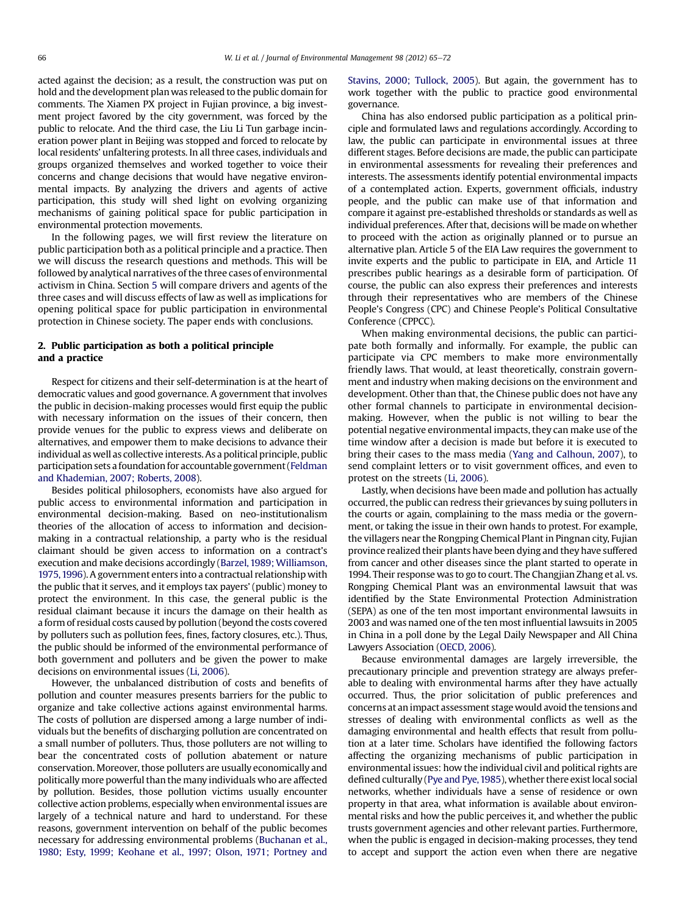acted against the decision; as a result, the construction was put on hold and the development planwas released to the public domain for comments. The Xiamen PX project in Fujian province, a big investment project favored by the city government, was forced by the public to relocate. And the third case, the Liu Li Tun garbage incineration power plant in Beijing was stopped and forced to relocate by local residents' unfaltering protests. In all three cases, individuals and groups organized themselves and worked together to voice their concerns and change decisions that would have negative environmental impacts. By analyzing the drivers and agents of active participation, this study will shed light on evolving organizing mechanisms of gaining political space for public participation in environmental protection movements.

In the following pages, we will first review the literature on public participation both as a political principle and a practice. Then we will discuss the research questions and methods. This will be followed by analytical narratives of the three cases of environmental activism in China. Section [5](#page-4-0) will compare drivers and agents of the three cases and will discuss effects of law as well as implications for opening political space for public participation in environmental protection in Chinese society. The paper ends with conclusions.

# 2. Public participation as both a political principle and a practice

Respect for citizens and their self-determination is at the heart of democratic values and good governance. A government that involves the public in decision-making processes would first equip the public with necessary information on the issues of their concern, then provide venues for the public to express views and deliberate on alternatives, and empower them to make decisions to advance their individual as well as collective interests. As a political principle, public participation sets a foundation for accountable government ([Feldman](#page-7-0) [and Khademian, 2007; Roberts, 2008](#page-7-0)).

Besides political philosophers, economists have also argued for public access to environmental information and participation in environmental decision-making. Based on neo-institutionalism theories of the allocation of access to information and decisionmaking in a contractual relationship, a party who is the residual claimant should be given access to information on a contract's execution and make decisions accordingly [\(Barzel, 1989; Williamson,](#page-6-0) [1975,1996\)](#page-6-0). A government enters into a contractual relationship with the public that it serves, and it employs tax payers' (public) money to protect the environment. In this case, the general public is the residual claimant because it incurs the damage on their health as a form of residual costs caused by pollution (beyond the costs covered by polluters such as pollution fees, fines, factory closures, etc.). Thus, the public should be informed of the environmental performance of both government and polluters and be given the power to make decisions on environmental issues ([Li, 2006](#page-7-0)).

However, the unbalanced distribution of costs and benefits of pollution and counter measures presents barriers for the public to organize and take collective actions against environmental harms. The costs of pollution are dispersed among a large number of individuals but the benefits of discharging pollution are concentrated on a small number of polluters. Thus, those polluters are not willing to bear the concentrated costs of pollution abatement or nature conservation. Moreover, those polluters are usually economically and politically more powerful than the many individuals who are affected by pollution. Besides, those pollution victims usually encounter collective action problems, especially when environmental issues are largely of a technical nature and hard to understand. For these reasons, government intervention on behalf of the public becomes necessary for addressing environmental problems ([Buchanan et al.,](#page-6-0) [1980; Esty, 1999; Keohane et al., 1997; Olson, 1971; Portney and](#page-6-0) [Stavins, 2000; Tullock, 2005\)](#page-6-0). But again, the government has to work together with the public to practice good environmental governance.

China has also endorsed public participation as a political principle and formulated laws and regulations accordingly. According to law, the public can participate in environmental issues at three different stages. Before decisions are made, the public can participate in environmental assessments for revealing their preferences and interests. The assessments identify potential environmental impacts of a contemplated action. Experts, government officials, industry people, and the public can make use of that information and compare it against pre-established thresholds or standards as well as individual preferences. After that, decisions will be made on whether to proceed with the action as originally planned or to pursue an alternative plan. Article 5 of the EIA Law requires the government to invite experts and the public to participate in EIA, and Article 11 prescribes public hearings as a desirable form of participation. Of course, the public can also express their preferences and interests through their representatives who are members of the Chinese People's Congress (CPC) and Chinese People's Political Consultative Conference (CPPCC).

When making environmental decisions, the public can participate both formally and informally. For example, the public can participate via CPC members to make more environmentally friendly laws. That would, at least theoretically, constrain government and industry when making decisions on the environment and development. Other than that, the Chinese public does not have any other formal channels to participate in environmental decisionmaking. However, when the public is not willing to bear the potential negative environmental impacts, they can make use of the time window after a decision is made but before it is executed to bring their cases to the mass media ([Yang and Calhoun, 2007\)](#page-7-0), to send complaint letters or to visit government offices, and even to protest on the streets ([Li, 2006\)](#page-7-0).

Lastly, when decisions have been made and pollution has actually occurred, the public can redress their grievances by suing polluters in the courts or again, complaining to the mass media or the government, or taking the issue in their own hands to protest. For example, the villagers near the Rongping Chemical Plant in Pingnan city, Fujian province realized their plants have been dying and they have suffered from cancer and other diseases since the plant started to operate in 1994. Their response was to go to court. The Changjian Zhang et al. vs. Rongping Chemical Plant was an environmental lawsuit that was identified by the State Environmental Protection Administration (SEPA) as one of the ten most important environmental lawsuits in 2003 and was named one of the ten most influential lawsuits in 2005 in China in a poll done by the Legal Daily Newspaper and All China Lawyers Association [\(OECD, 2006](#page-7-0)).

Because environmental damages are largely irreversible, the precautionary principle and prevention strategy are always preferable to dealing with environmental harms after they have actually occurred. Thus, the prior solicitation of public preferences and concerns at an impact assessment stage would avoid the tensions and stresses of dealing with environmental conflicts as well as the damaging environmental and health effects that result from pollution at a later time. Scholars have identified the following factors affecting the organizing mechanisms of public participation in environmental issues: how the individual civil and political rights are defined culturally ([Pye and Pye,1985](#page-7-0)), whether there exist local social networks, whether individuals have a sense of residence or own property in that area, what information is available about environmental risks and how the public perceives it, and whether the public trusts government agencies and other relevant parties. Furthermore, when the public is engaged in decision-making processes, they tend to accept and support the action even when there are negative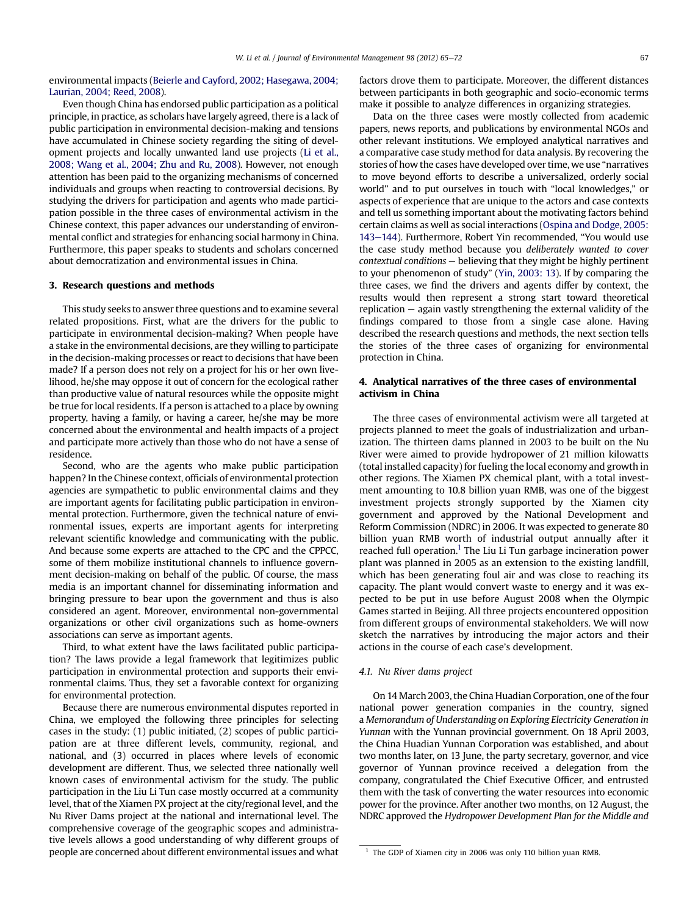environmental impacts ([Beierle and Cayford, 2002; Hasegawa, 2004;](#page-6-0) [Laurian, 2004; Reed, 2008](#page-6-0)).

Even though China has endorsed public participation as a political principle, in practice, as scholars have largely agreed, there is a lack of public participation in environmental decision-making and tensions have accumulated in Chinese society regarding the siting of development projects and locally unwanted land use projects [\(Li et al.,](#page-7-0) [2008; Wang et al., 2004; Zhu and Ru, 2008\)](#page-7-0). However, not enough attention has been paid to the organizing mechanisms of concerned individuals and groups when reacting to controversial decisions. By studying the drivers for participation and agents who made participation possible in the three cases of environmental activism in the Chinese context, this paper advances our understanding of environmental conflict and strategies for enhancing social harmony in China. Furthermore, this paper speaks to students and scholars concerned about democratization and environmental issues in China.

## 3. Research questions and methods

This study seeks to answer three questions and to examine several related propositions. First, what are the drivers for the public to participate in environmental decision-making? When people have a stake in the environmental decisions, are they willing to participate in the decision-making processes or react to decisions that have been made? If a person does not rely on a project for his or her own livelihood, he/she may oppose it out of concern for the ecological rather than productive value of natural resources while the opposite might be true for local residents. If a person is attached to a place by owning property, having a family, or having a career, he/she may be more concerned about the environmental and health impacts of a project and participate more actively than those who do not have a sense of residence.

Second, who are the agents who make public participation happen? In the Chinese context, officials of environmental protection agencies are sympathetic to public environmental claims and they are important agents for facilitating public participation in environmental protection. Furthermore, given the technical nature of environmental issues, experts are important agents for interpreting relevant scientific knowledge and communicating with the public. And because some experts are attached to the CPC and the CPPCC, some of them mobilize institutional channels to influence government decision-making on behalf of the public. Of course, the mass media is an important channel for disseminating information and bringing pressure to bear upon the government and thus is also considered an agent. Moreover, environmental non-governmental organizations or other civil organizations such as home-owners associations can serve as important agents.

Third, to what extent have the laws facilitated public participation? The laws provide a legal framework that legitimizes public participation in environmental protection and supports their environmental claims. Thus, they set a favorable context for organizing for environmental protection.

Because there are numerous environmental disputes reported in China, we employed the following three principles for selecting cases in the study: (1) public initiated, (2) scopes of public participation are at three different levels, community, regional, and national, and (3) occurred in places where levels of economic development are different. Thus, we selected three nationally well known cases of environmental activism for the study. The public participation in the Liu Li Tun case mostly occurred at a community level, that of the Xiamen PX project at the city/regional level, and the Nu River Dams project at the national and international level. The comprehensive coverage of the geographic scopes and administrative levels allows a good understanding of why different groups of people are concerned about different environmental issues and what

factors drove them to participate. Moreover, the different distances between participants in both geographic and socio-economic terms make it possible to analyze differences in organizing strategies.

Data on the three cases were mostly collected from academic papers, news reports, and publications by environmental NGOs and other relevant institutions. We employed analytical narratives and a comparative case study method for data analysis. By recovering the stories of how the cases have developed over time, we use "narratives to move beyond efforts to describe a universalized, orderly social world" and to put ourselves in touch with "local knowledges," or aspects of experience that are unique to the actors and case contexts and tell us something important about the motivating factors behind certain claims as well as social interactions ([Ospina and Dodge, 2005:](#page-7-0) [143](#page-7-0)–[144](#page-7-0)). Furthermore, Robert Yin recommended, "You would use the case study method because you deliberately wanted to cover  $contextual conditions – believing that they might be highly pertinent$ to your phenomenon of study" [\(Yin, 2003: 13\)](#page-7-0). If by comparing the three cases, we find the drivers and agents differ by context, the results would then represent a strong start toward theoretical replication  $-$  again vastly strengthening the external validity of the findings compared to those from a single case alone. Having described the research questions and methods, the next section tells the stories of the three cases of organizing for environmental protection in China.

# 4. Analytical narratives of the three cases of environmental activism in China

The three cases of environmental activism were all targeted at projects planned to meet the goals of industrialization and urbanization. The thirteen dams planned in 2003 to be built on the Nu River were aimed to provide hydropower of 21 million kilowatts (total installed capacity) for fueling the local economy and growth in other regions. The Xiamen PX chemical plant, with a total investment amounting to 10.8 billion yuan RMB, was one of the biggest investment projects strongly supported by the Xiamen city government and approved by the National Development and Reform Commission (NDRC) in 2006. It was expected to generate 80 billion yuan RMB worth of industrial output annually after it reached full operation.<sup>1</sup> The Liu Li Tun garbage incineration power plant was planned in 2005 as an extension to the existing landfill, which has been generating foul air and was close to reaching its capacity. The plant would convert waste to energy and it was expected to be put in use before August 2008 when the Olympic Games started in Beijing. All three projects encountered opposition from different groups of environmental stakeholders. We will now sketch the narratives by introducing the major actors and their actions in the course of each case's development.

## 4.1. Nu River dams project

On 14 March 2003, the China Huadian Corporation, one of the four national power generation companies in the country, signed a Memorandum of Understanding on Exploring Electricity Generation in Yunnan with the Yunnan provincial government. On 18 April 2003, the China Huadian Yunnan Corporation was established, and about two months later, on 13 June, the party secretary, governor, and vice governor of Yunnan province received a delegation from the company, congratulated the Chief Executive Officer, and entrusted them with the task of converting the water resources into economic power for the province. After another two months, on 12 August, the NDRC approved the Hydropower Development Plan for the Middle and

 $1$  The GDP of Xiamen city in 2006 was only 110 billion yuan RMB.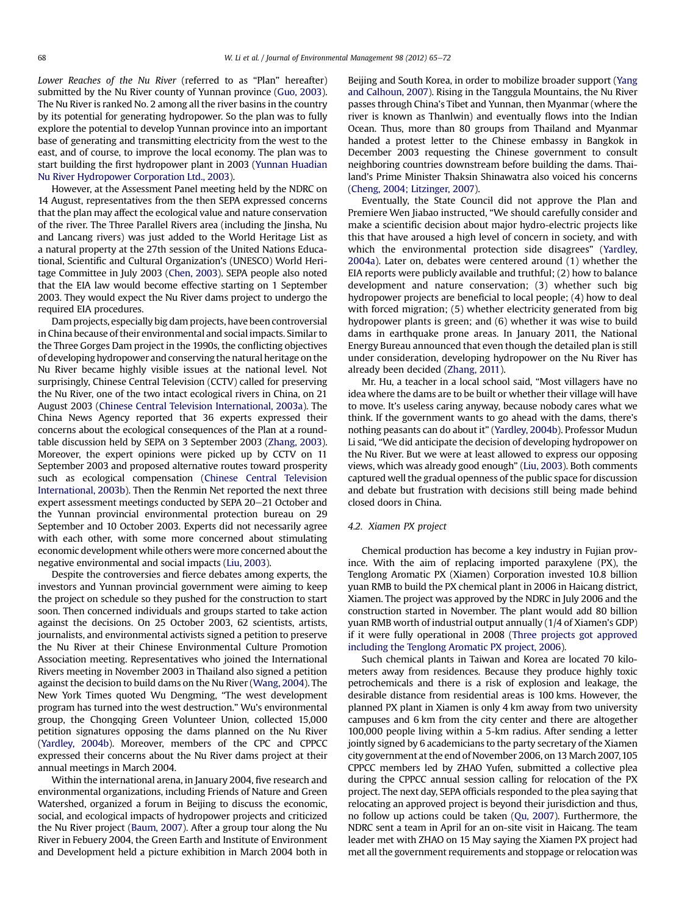Lower Reaches of the Nu River (referred to as "Plan" hereafter) submitted by the Nu River county of Yunnan province ([Guo, 2003](#page-7-0)). The Nu River is ranked No. 2 among all the river basins in the country by its potential for generating hydropower. So the plan was to fully explore the potential to develop Yunnan province into an important base of generating and transmitting electricity from the west to the east, and of course, to improve the local economy. The plan was to start building the first hydropower plant in 2003 [\(Yunnan Huadian](#page-7-0) [Nu River Hydropower Corporation Ltd., 2003\)](#page-7-0).

However, at the Assessment Panel meeting held by the NDRC on 14 August, representatives from the then SEPA expressed concerns that the plan may affect the ecological value and nature conservation of the river. The Three Parallel Rivers area (including the Jinsha, Nu and Lancang rivers) was just added to the World Heritage List as a natural property at the 27th session of the United Nations Educational, Scientific and Cultural Organization's (UNESCO) World Heritage Committee in July 2003 [\(Chen, 2003\)](#page-6-0). SEPA people also noted that the EIA law would become effective starting on 1 September 2003. They would expect the Nu River dams project to undergo the required EIA procedures.

Dam projects, especially big dam projects, have been controversial in China because of their environmental and social impacts. Similar to the Three Gorges Dam project in the 1990s, the conflicting objectives of developing hydropower and conserving the natural heritage on the Nu River became highly visible issues at the national level. Not surprisingly, Chinese Central Television (CCTV) called for preserving the Nu River, one of the two intact ecological rivers in China, on 21 August 2003 [\(Chinese Central Television International, 2003a\)](#page-6-0). The China News Agency reported that 36 experts expressed their concerns about the ecological consequences of the Plan at a roundtable discussion held by SEPA on 3 September 2003 ([Zhang, 2003](#page-7-0)). Moreover, the expert opinions were picked up by CCTV on 11 September 2003 and proposed alternative routes toward prosperity such as ecological compensation [\(Chinese Central Television](#page-6-0) [International, 2003b](#page-6-0)). Then the Renmin Net reported the next three expert assessment meetings conducted by SEPA 20-21 October and the Yunnan provincial environmental protection bureau on 29 September and 10 October 2003. Experts did not necessarily agree with each other, with some more concerned about stimulating economic development while others were more concerned about the negative environmental and social impacts ([Liu, 2003\)](#page-7-0).

Despite the controversies and fierce debates among experts, the investors and Yunnan provincial government were aiming to keep the project on schedule so they pushed for the construction to start soon. Then concerned individuals and groups started to take action against the decisions. On 25 October 2003, 62 scientists, artists, journalists, and environmental activists signed a petition to preserve the Nu River at their Chinese Environmental Culture Promotion Association meeting. Representatives who joined the International Rivers meeting in November 2003 in Thailand also signed a petition against the decision to build dams on the Nu River ([Wang, 2004\)](#page-7-0). The New York Times quoted Wu Dengming, "The west development program has turned into the west destruction." Wu's environmental group, the Chongqing Green Volunteer Union, collected 15,000 petition signatures opposing the dams planned on the Nu River ([Yardley, 2004b](#page-7-0)). Moreover, members of the CPC and CPPCC expressed their concerns about the Nu River dams project at their annual meetings in March 2004.

Within the international arena, in January 2004, five research and environmental organizations, including Friends of Nature and Green Watershed, organized a forum in Beijing to discuss the economic, social, and ecological impacts of hydropower projects and criticized the Nu River project ([Baum, 2007](#page-6-0)). After a group tour along the Nu River in Febuery 2004, the Green Earth and Institute of Environment and Development held a picture exhibition in March 2004 both in Beijing and South Korea, in order to mobilize broader support ([Yang](#page-7-0) [and Calhoun, 2007](#page-7-0)). Rising in the Tanggula Mountains, the Nu River passes through China's Tibet and Yunnan, then Myanmar (where the river is known as Thanlwin) and eventually flows into the Indian Ocean. Thus, more than 80 groups from Thailand and Myanmar handed a protest letter to the Chinese embassy in Bangkok in December 2003 requesting the Chinese government to consult neighboring countries downstream before building the dams. Thailand's Prime Minister Thaksin Shinawatra also voiced his concerns ([Cheng, 2004; Litzinger, 2007\)](#page-6-0).

Eventually, the State Council did not approve the Plan and Premiere Wen Jiabao instructed, "We should carefully consider and make a scientific decision about major hydro-electric projects like this that have aroused a high level of concern in society, and with which the environmental protection side disagrees" [\(Yardley,](#page-7-0) [2004a](#page-7-0)). Later on, debates were centered around (1) whether the EIA reports were publicly available and truthful; (2) how to balance development and nature conservation; (3) whether such big hydropower projects are beneficial to local people; (4) how to deal with forced migration; (5) whether electricity generated from big hydropower plants is green; and (6) whether it was wise to build dams in earthquake prone areas. In January 2011, the National Energy Bureau announced that even though the detailed plan is still under consideration, developing hydropower on the Nu River has already been decided [\(Zhang, 2011\)](#page-7-0).

Mr. Hu, a teacher in a local school said, "Most villagers have no idea where the dams are to be built or whether their village will have to move. It's useless caring anyway, because nobody cares what we think. If the government wants to go ahead with the dams, there's nothing peasants can do about it" ([Yardley, 2004b](#page-7-0)). Professor Mudun Li said, "We did anticipate the decision of developing hydropower on the Nu River. But we were at least allowed to express our opposing views, which was already good enough" [\(Liu, 2003\)](#page-7-0). Both comments captured well the gradual openness of the public space for discussion and debate but frustration with decisions still being made behind closed doors in China.

#### 4.2. Xiamen PX project

Chemical production has become a key industry in Fujian province. With the aim of replacing imported paraxylene (PX), the Tenglong Aromatic PX (Xiamen) Corporation invested 10.8 billion yuan RMB to build the PX chemical plant in 2006 in Haicang district, Xiamen. The project was approved by the NDRC in July 2006 and the construction started in November. The plant would add 80 billion yuan RMB worth of industrial output annually (1/4 of Xiamen's GDP) if it were fully operational in 2008 [\(Three projects got approved](#page-7-0) [including the Tenglong Aromatic PX project, 2006](#page-7-0)).

Such chemical plants in Taiwan and Korea are located 70 kilometers away from residences. Because they produce highly toxic petrochemicals and there is a risk of explosion and leakage, the desirable distance from residential areas is 100 kms. However, the planned PX plant in Xiamen is only 4 km away from two university campuses and 6 km from the city center and there are altogether 100,000 people living within a 5-km radius. After sending a letter jointly signed by 6 academicians to the party secretary of the Xiamen city government at the end of November 2006, on 13 March 2007,105 CPPCC members led by ZHAO Yufen, submitted a collective plea during the CPPCC annual session calling for relocation of the PX project. The next day, SEPA officials responded to the plea saying that relocating an approved project is beyond their jurisdiction and thus, no follow up actions could be taken [\(Qu, 2007\)](#page-7-0). Furthermore, the NDRC sent a team in April for an on-site visit in Haicang. The team leader met with ZHAO on 15 May saying the Xiamen PX project had met all the government requirements and stoppage or relocationwas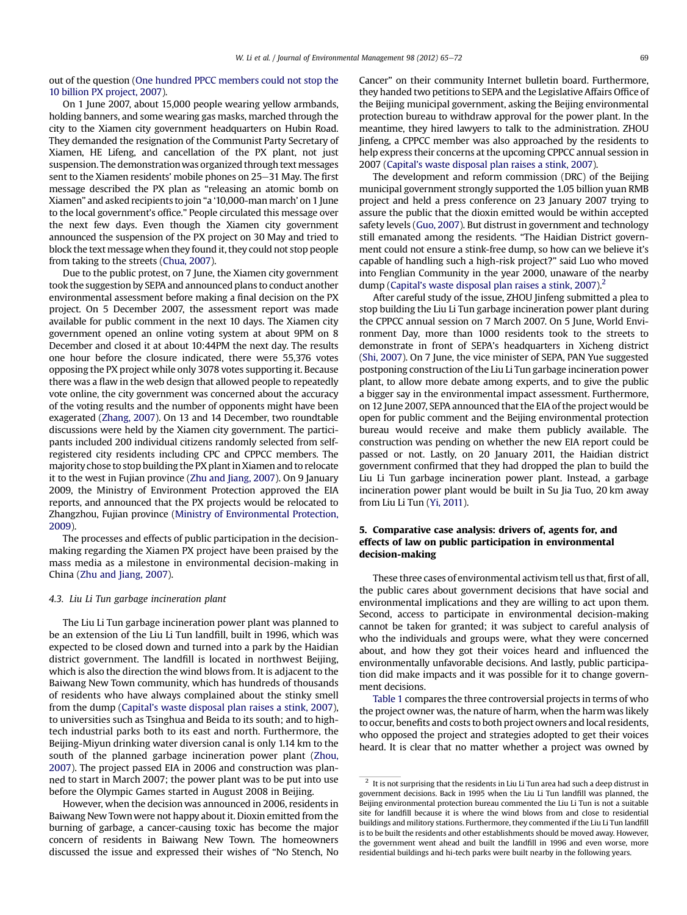<span id="page-4-0"></span>out of the question ([One hundred PPCC members could not stop the](#page-7-0) [10 billion PX project, 2007](#page-7-0)).

On 1 June 2007, about 15,000 people wearing yellow armbands, holding banners, and some wearing gas masks, marched through the city to the Xiamen city government headquarters on Hubin Road. They demanded the resignation of the Communist Party Secretary of Xiamen, HE Lifeng, and cancellation of the PX plant, not just suspension. The demonstration was organized through text messages sent to the Xiamen residents' mobile phones on 25–31 May. The first message described the PX plan as "releasing an atomic bomb on Xiamen" and asked recipients to join "a '10,000-man march' on 1 June to the local government's office." People circulated this message over the next few days. Even though the Xiamen city government announced the suspension of the PX project on 30 May and tried to block the text message when they found it, they could not stop people from taking to the streets [\(Chua, 2007\)](#page-7-0).

Due to the public protest, on 7 June, the Xiamen city government took the suggestion by SEPA and announced plans to conduct another environmental assessment before making a final decision on the PX project. On 5 December 2007, the assessment report was made available for public comment in the next 10 days. The Xiamen city government opened an online voting system at about 9PM on 8 December and closed it at about 10:44PM the next day. The results one hour before the closure indicated, there were 55,376 votes opposing the PX project while only 3078 votes supporting it. Because there was a flaw in the web design that allowed people to repeatedly vote online, the city government was concerned about the accuracy of the voting results and the number of opponents might have been exagerated [\(Zhang, 2007\)](#page-7-0). On 13 and 14 December, two roundtable discussions were held by the Xiamen city government. The participants included 200 individual citizens randomly selected from selfregistered city residents including CPC and CPPCC members. The majority chose to stop building the PX plant in Xiamen and to relocate it to the west in Fujian province [\(Zhu and Jiang, 2007\)](#page-7-0). On 9 January 2009, the Ministry of Environment Protection approved the EIA reports, and announced that the PX projects would be relocated to Zhangzhou, Fujian province ([Ministry of Environmental Protection,](#page-7-0) [2009](#page-7-0)).

The processes and effects of public participation in the decisionmaking regarding the Xiamen PX project have been praised by the mass media as a milestone in environmental decision-making in China ([Zhu and Jiang, 2007](#page-7-0)).

## 4.3. Liu Li Tun garbage incineration plant

The Liu Li Tun garbage incineration power plant was planned to be an extension of the Liu Li Tun landfill, built in 1996, which was expected to be closed down and turned into a park by the Haidian district government. The landfill is located in northwest Beijing, which is also the direction the wind blows from. It is adjacent to the Baiwang New Town community, which has hundreds of thousands of residents who have always complained about the stinky smell from the dump (Capital'[s waste disposal plan raises a stink, 2007\)](#page-6-0), to universities such as Tsinghua and Beida to its south; and to hightech industrial parks both to its east and north. Furthermore, the Beijing-Miyun drinking water diversion canal is only 1.14 km to the south of the planned garbage incineration power plant [\(Zhou,](#page-7-0) [2007\)](#page-7-0). The project passed EIA in 2006 and construction was planned to start in March 2007; the power plant was to be put into use before the Olympic Games started in August 2008 in Beijing.

However, when the decision was announced in 2006, residents in Baiwang New Townwere not happy about it. Dioxin emitted from the burning of garbage, a cancer-causing toxic has become the major concern of residents in Baiwang New Town. The homeowners discussed the issue and expressed their wishes of "No Stench, No

Cancer" on their community Internet bulletin board. Furthermore, they handed two petitions to SEPA and the Legislative Affairs Office of the Beijing municipal government, asking the Beijing environmental protection bureau to withdraw approval for the power plant. In the meantime, they hired lawyers to talk to the administration. ZHOU Jinfeng, a CPPCC member was also approached by the residents to help express their concerns at the upcoming CPPCC annual session in 2007 (Capital'[s waste disposal plan raises a stink, 2007](#page-6-0)).

The development and reform commission (DRC) of the Beijing municipal government strongly supported the 1.05 billion yuan RMB project and held a press conference on 23 January 2007 trying to assure the public that the dioxin emitted would be within accepted safety levels ([Guo, 2007](#page-7-0)). But distrust in government and technology still emanated among the residents. "The Haidian District government could not ensure a stink-free dump, so how can we believe it's capable of handling such a high-risk project?" said Luo who moved into Fenglian Community in the year 2000, unaware of the nearby dump (Capital'[s waste disposal plan raises a stink, 2007](#page-6-0)).<sup>2</sup>

After careful study of the issue, ZHOU Jinfeng submitted a plea to stop building the Liu Li Tun garbage incineration power plant during the CPPCC annual session on 7 March 2007. On 5 June, World Environment Day, more than 1000 residents took to the streets to demonstrate in front of SEPA's headquarters in Xicheng district [\(Shi, 2007\)](#page-7-0). On 7 June, the vice minister of SEPA, PAN Yue suggested postponing construction of the Liu Li Tun garbage incineration power plant, to allow more debate among experts, and to give the public a bigger say in the environmental impact assessment. Furthermore, on 12 June 2007, SEPA announced that the EIA of the project would be open for public comment and the Beijing environmental protection bureau would receive and make them publicly available. The construction was pending on whether the new EIA report could be passed or not. Lastly, on 20 January 2011, the Haidian district government confirmed that they had dropped the plan to build the Liu Li Tun garbage incineration power plant. Instead, a garbage incineration power plant would be built in Su Jia Tuo, 20 km away from Liu Li Tun ([Yi, 2011\)](#page-7-0).

# 5. Comparative case analysis: drivers of, agents for, and effects of law on public participation in environmental decision-making

These three cases of environmental activism tell us that, first of all, the public cares about government decisions that have social and environmental implications and they are willing to act upon them. Second, access to participate in environmental decision-making cannot be taken for granted; it was subject to careful analysis of who the individuals and groups were, what they were concerned about, and how they got their voices heard and influenced the environmentally unfavorable decisions. And lastly, public participation did make impacts and it was possible for it to change government decisions.

[Table 1](#page-5-0) compares the three controversial projects in terms of who the project owner was, the nature of harm, when the harm was likely to occur, benefits and costs to both project owners and local residents, who opposed the project and strategies adopted to get their voices heard. It is clear that no matter whether a project was owned by

 $2$  It is not surprising that the residents in Liu Li Tun area had such a deep distrust in government decisions. Back in 1995 when the Liu Li Tun landfill was planned, the Beijing environmental protection bureau commented the Liu Li Tun is not a suitable site for landfill because it is where the wind blows from and close to residential buildings and militory stations. Furthermore, they commented if the Liu Li Tun landfill is to be built the residents and other establishments should be moved away. However, the government went ahead and built the landfill in 1996 and even worse, more residential buildings and hi-tech parks were built nearby in the following years.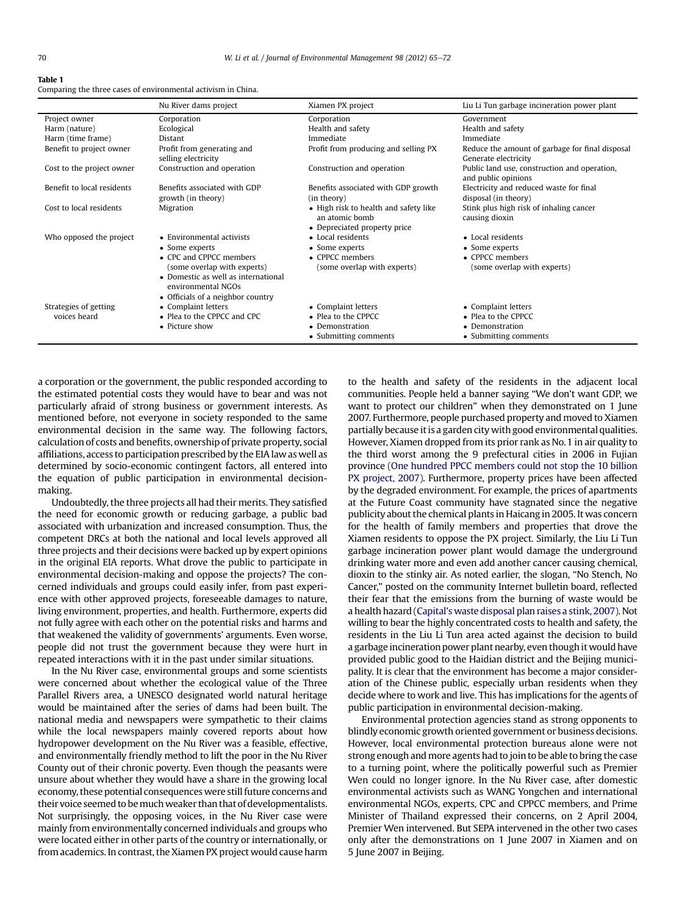#### <span id="page-5-0"></span>Table 1

Comparing the three cases of environmental activism in China.

|                            | Nu River dams project                                                                                                         | Xiamen PX project                                                                       | Liu Li Tun garbage incineration power plant                             |
|----------------------------|-------------------------------------------------------------------------------------------------------------------------------|-----------------------------------------------------------------------------------------|-------------------------------------------------------------------------|
| Project owner              | Corporation                                                                                                                   | Corporation                                                                             | Government                                                              |
| Harm (nature)              | Ecological                                                                                                                    | Health and safety                                                                       | Health and safety                                                       |
| Harm (time frame)          | Distant                                                                                                                       | Immediate                                                                               | Immediate                                                               |
| Benefit to project owner   | Profit from generating and<br>selling electricity                                                                             | Profit from producing and selling PX                                                    | Reduce the amount of garbage for final disposal<br>Generate electricity |
| Cost to the project owner  | Construction and operation                                                                                                    | Construction and operation                                                              | Public land use, construction and operation,<br>and public opinions     |
| Benefit to local residents | Benefits associated with GDP<br>growth (in theory)                                                                            | Benefits associated with GDP growth<br>(in theory)                                      | Electricity and reduced waste for final<br>disposal (in theory)         |
| Cost to local residents    | Migration                                                                                                                     | • High risk to health and safety like<br>an atomic bomb<br>• Depreciated property price | Stink plus high risk of inhaling cancer<br>causing dioxin               |
| Who opposed the project    | • Environmental activists                                                                                                     | • Local residents                                                                       | • Local residents                                                       |
|                            | • Some experts                                                                                                                | • Some experts                                                                          | • Some experts                                                          |
|                            | • CPC and CPPCC members                                                                                                       | $\bullet$ CPPCC members                                                                 | $\bullet$ CPPCC members                                                 |
|                            | (some overlap with experts)<br>• Domestic as well as international<br>environmental NGOs<br>• Officials of a neighbor country | (some overlap with experts)                                                             | (some overlap with experts)                                             |
| Strategies of getting      | • Complaint letters                                                                                                           | • Complaint letters                                                                     | • Complaint letters                                                     |
| voices heard               | • Plea to the CPPCC and CPC                                                                                                   | • Plea to the CPPCC                                                                     | • Plea to the CPPCC                                                     |
|                            | • Picture show                                                                                                                | • Demonstration                                                                         | • Demonstration                                                         |
|                            |                                                                                                                               | • Submitting comments                                                                   | • Submitting comments                                                   |

a corporation or the government, the public responded according to the estimated potential costs they would have to bear and was not particularly afraid of strong business or government interests. As mentioned before, not everyone in society responded to the same environmental decision in the same way. The following factors, calculation of costs and benefits, ownership of private property, social affiliations, access to participation prescribed by the EIA law as well as determined by socio-economic contingent factors, all entered into the equation of public participation in environmental decisionmaking.

Undoubtedly, the three projects all had their merits. They satisfied the need for economic growth or reducing garbage, a public bad associated with urbanization and increased consumption. Thus, the competent DRCs at both the national and local levels approved all three projects and their decisions were backed up by expert opinions in the original EIA reports. What drove the public to participate in environmental decision-making and oppose the projects? The concerned individuals and groups could easily infer, from past experience with other approved projects, foreseeable damages to nature, living environment, properties, and health. Furthermore, experts did not fully agree with each other on the potential risks and harms and that weakened the validity of governments' arguments. Even worse, people did not trust the government because they were hurt in repeated interactions with it in the past under similar situations.

In the Nu River case, environmental groups and some scientists were concerned about whether the ecological value of the Three Parallel Rivers area, a UNESCO designated world natural heritage would be maintained after the series of dams had been built. The national media and newspapers were sympathetic to their claims while the local newspapers mainly covered reports about how hydropower development on the Nu River was a feasible, effective, and environmentally friendly method to lift the poor in the Nu River County out of their chronic poverty. Even though the peasants were unsure about whether they would have a share in the growing local economy, these potential consequences were still future concerns and their voice seemed to be much weaker than that of developmentalists. Not surprisingly, the opposing voices, in the Nu River case were mainly from environmentally concerned individuals and groups who were located either in other parts of the country or internationally, or from academics. In contrast, the Xiamen PX project would cause harm to the health and safety of the residents in the adjacent local communities. People held a banner saying "We don't want GDP, we want to protect our children" when they demonstrated on 1 June 2007. Furthermore, people purchased property and moved to Xiamen partially because it is a garden city with good environmental qualities. However, Xiamen dropped from its prior rank as No.1 in air quality to the third worst among the 9 prefectural cities in 2006 in Fujian province [\(One hundred PPCC members could not stop the 10 billion](#page-7-0) [PX project, 2007\)](#page-7-0). Furthermore, property prices have been affected by the degraded environment. For example, the prices of apartments at the Future Coast community have stagnated since the negative publicity about the chemical plants in Haicang in 2005. It was concern for the health of family members and properties that drove the Xiamen residents to oppose the PX project. Similarly, the Liu Li Tun garbage incineration power plant would damage the underground drinking water more and even add another cancer causing chemical, dioxin to the stinky air. As noted earlier, the slogan, "No Stench, No Cancer," posted on the community Internet bulletin board, reflected their fear that the emissions from the burning of waste would be a health hazard (Capital'[s waste disposal plan raises a stink, 2007](#page-6-0)). Not willing to bear the highly concentrated costs to health and safety, the residents in the Liu Li Tun area acted against the decision to build a garbage incineration power plant nearby, even though it would have provided public good to the Haidian district and the Beijing municipality. It is clear that the environment has become a major consideration of the Chinese public, especially urban residents when they decide where to work and live. This has implications for the agents of public participation in environmental decision-making.

Environmental protection agencies stand as strong opponents to blindly economic growth oriented government or business decisions. However, local environmental protection bureaus alone were not strong enough and more agents had to join to be able to bring the case to a turning point, where the politically powerful such as Premier Wen could no longer ignore. In the Nu River case, after domestic environmental activists such as WANG Yongchen and international environmental NGOs, experts, CPC and CPPCC members, and Prime Minister of Thailand expressed their concerns, on 2 April 2004, Premier Wen intervened. But SEPA intervened in the other two cases only after the demonstrations on 1 June 2007 in Xiamen and on 5 June 2007 in Beijing.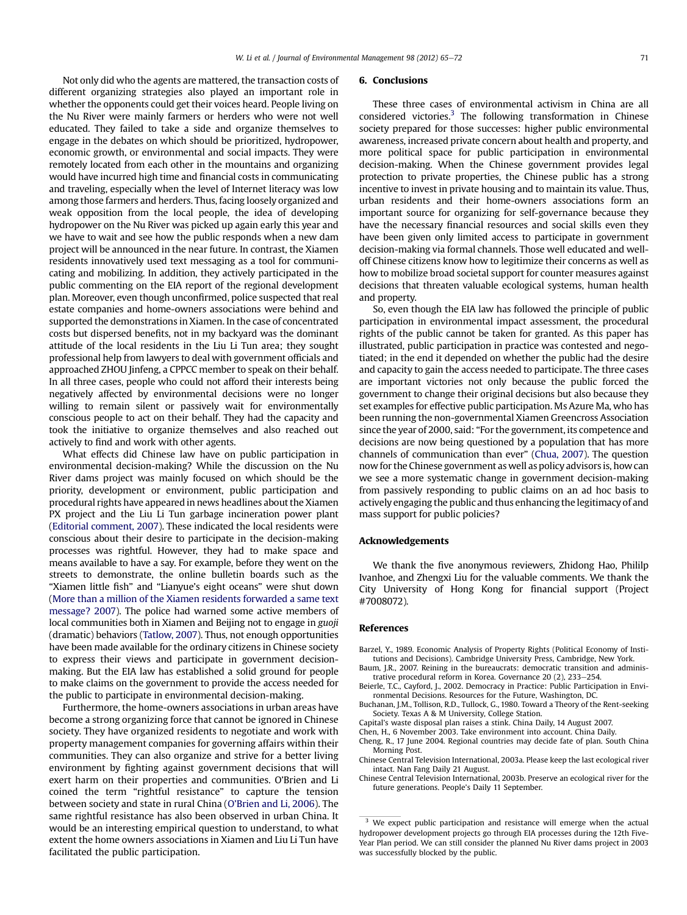<span id="page-6-0"></span>Not only did who the agents are mattered, the transaction costs of different organizing strategies also played an important role in whether the opponents could get their voices heard. People living on the Nu River were mainly farmers or herders who were not well educated. They failed to take a side and organize themselves to engage in the debates on which should be prioritized, hydropower, economic growth, or environmental and social impacts. They were remotely located from each other in the mountains and organizing would have incurred high time and financial costs in communicating and traveling, especially when the level of Internet literacy was low among those farmers and herders. Thus, facing loosely organized and weak opposition from the local people, the idea of developing hydropower on the Nu River was picked up again early this year and we have to wait and see how the public responds when a new dam project will be announced in the near future. In contrast, the Xiamen residents innovatively used text messaging as a tool for communicating and mobilizing. In addition, they actively participated in the public commenting on the EIA report of the regional development plan. Moreover, even though unconfirmed, police suspected that real estate companies and home-owners associations were behind and supported the demonstrations in Xiamen. In the case of concentrated costs but dispersed benefits, not in my backyard was the dominant attitude of the local residents in the Liu Li Tun area; they sought professional help from lawyers to deal with government officials and approached ZHOU Jinfeng, a CPPCC member to speak on their behalf. In all three cases, people who could not afford their interests being negatively affected by environmental decisions were no longer willing to remain silent or passively wait for environmentally conscious people to act on their behalf. They had the capacity and took the initiative to organize themselves and also reached out actively to find and work with other agents.

What effects did Chinese law have on public participation in environmental decision-making? While the discussion on the Nu River dams project was mainly focused on which should be the priority, development or environment, public participation and procedural rights have appeared in news headlines about the Xiamen PX project and the Liu Li Tun garbage incineration power plant [\(Editorial comment, 2007](#page-7-0)). These indicated the local residents were conscious about their desire to participate in the decision-making processes was rightful. However, they had to make space and means available to have a say. For example, before they went on the streets to demonstrate, the online bulletin boards such as the "Xiamen little fish" and "Lianyue's eight oceans" were shut down [\(More than a million of the Xiamen residents forwarded a same text](#page-7-0) [message? 2007\)](#page-7-0). The police had warned some active members of local communities both in Xiamen and Beijing not to engage in guoji (dramatic) behaviors [\(Tatlow, 2007](#page-7-0)). Thus, not enough opportunities have been made available for the ordinary citizens in Chinese society to express their views and participate in government decisionmaking. But the EIA law has established a solid ground for people to make claims on the government to provide the access needed for the public to participate in environmental decision-making.

Furthermore, the home-owners associations in urban areas have become a strong organizing force that cannot be ignored in Chinese society. They have organized residents to negotiate and work with property management companies for governing affairs within their communities. They can also organize and strive for a better living environment by fighting against government decisions that will exert harm on their properties and communities. O'Brien and Li coined the term "rightful resistance" to capture the tension between society and state in rural China (O'[Brien and Li, 2006\)](#page-7-0). The same rightful resistance has also been observed in urban China. It would be an interesting empirical question to understand, to what extent the home owners associations in Xiamen and Liu Li Tun have facilitated the public participation.

#### 6. Conclusions

These three cases of environmental activism in China are all considered victories. $3$  The following transformation in Chinese society prepared for those successes: higher public environmental awareness, increased private concern about health and property, and more political space for public participation in environmental decision-making. When the Chinese government provides legal protection to private properties, the Chinese public has a strong incentive to invest in private housing and to maintain its value. Thus, urban residents and their home-owners associations form an important source for organizing for self-governance because they have the necessary financial resources and social skills even they have been given only limited access to participate in government decision-making via formal channels. Those well educated and welloff Chinese citizens know how to legitimize their concerns as well as how to mobilize broad societal support for counter measures against decisions that threaten valuable ecological systems, human health and property.

So, even though the EIA law has followed the principle of public participation in environmental impact assessment, the procedural rights of the public cannot be taken for granted. As this paper has illustrated, public participation in practice was contested and negotiated; in the end it depended on whether the public had the desire and capacity to gain the access needed to participate. The three cases are important victories not only because the public forced the government to change their original decisions but also because they set examples for effective public participation. Ms Azure Ma, who has been running the non-governmental Xiamen Greencross Association since the year of 2000, said: "For the government, its competence and decisions are now being questioned by a population that has more channels of communication than ever" ([Chua, 2007](#page-7-0)). The question now for the Chinese government as well as policy advisors is, how can we see a more systematic change in government decision-making from passively responding to public claims on an ad hoc basis to actively engaging the public and thus enhancing the legitimacy of and mass support for public policies?

#### Acknowledgements

We thank the five anonymous reviewers, Zhidong Hao, Phililp Ivanhoe, and Zhengxi Liu for the valuable comments. We thank the City University of Hong Kong for financial support (Project #7008072).

#### References

Barzel, Y., 1989. Economic Analysis of Property Rights (Political Economy of Institutions and Decisions). Cambridge University Press, Cambridge, New York.

- Baum, J.R., 2007. Reining in the bureaucrats: democratic transition and administrative procedural reform in Korea. Governance 20 (2), 233-254.
- Beierle, T.C., Cayford, J., 2002. Democracy in Practice: Public Participation in Environmental Decisions. Resources for the Future, Washington, DC.
- Buchanan, J.M., Tollison, R.D., Tullock, G., 1980. Toward a Theory of the Rent-seeking Society. Texas A & M University, College Station.
- Capital's waste disposal plan raises a stink. China Daily, 14 August 2007.
- Chen, H., 6 November 2003. Take environment into account. China Daily.
- Cheng, R., 17 June 2004. Regional countries may decide fate of plan. South China Morning Post.
- Chinese Central Television International, 2003a. Please keep the last ecological river intact. Nan Fang Daily 21 August.
- Chinese Central Television International, 2003b. Preserve an ecological river for the future generations. People's Daily 11 September.

<sup>&</sup>lt;sup>3</sup> We expect public participation and resistance will emerge when the actual hydropower development projects go through EIA processes during the 12th Five-Year Plan period. We can still consider the planned Nu River dams project in 2003 was successfully blocked by the public.